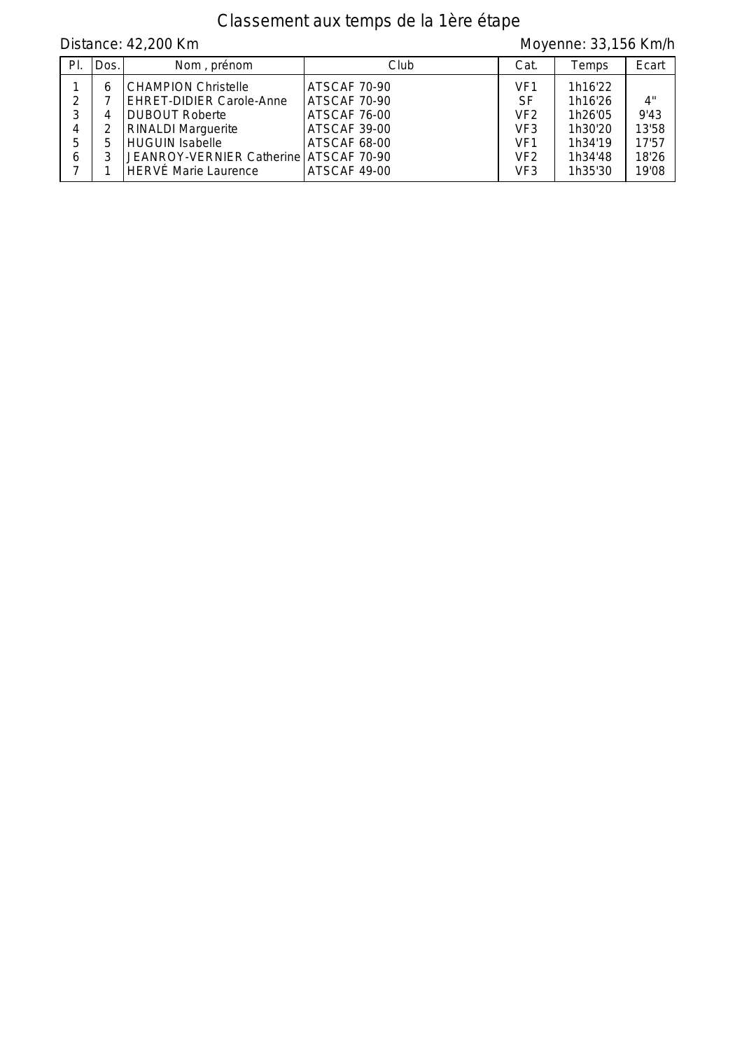# Classement aux temps de la 1ère étape

Distance: 42,200 Km Moyenne: 33,156 Km/h

| PI. | Dos. | Nom, prénom                            | Club         | Cat.            | Temps   | Ecart |
|-----|------|----------------------------------------|--------------|-----------------|---------|-------|
|     | h    | <b>CHAMPION Christelle</b>             | ATSCAF 70-90 | VF <sub>1</sub> | 1h16'22 |       |
| 2   |      | <b>EHRET-DIDIER Carole-Anne</b>        | ATSCAF 70-90 | SF              | 1h16'26 | 4"    |
| 2   | 4    | <b>DUBOUT Roberte</b>                  | ATSCAF 76-00 | VF <sub>2</sub> | 1h26'05 | 9'43  |
| 4   |      | <b>RINALDI Marguerite</b>              | ATSCAF 39-00 | VF <sub>3</sub> | 1h30'20 | 13'58 |
| 5   |      | <b>HUGUIN Isabelle</b>                 | ATSCAF 68-00 | VF <sub>1</sub> | 1h34'19 | 17'57 |
| 6   |      | JEANROY-VERNIER Catherine ATSCAF 70-90 |              | VF <sub>2</sub> | 1h34'48 | 18'26 |
|     |      | <b>HERVÉ Marie Laurence</b>            | ATSCAF 49-00 | VF <sub>3</sub> | 1h35'30 | 19'08 |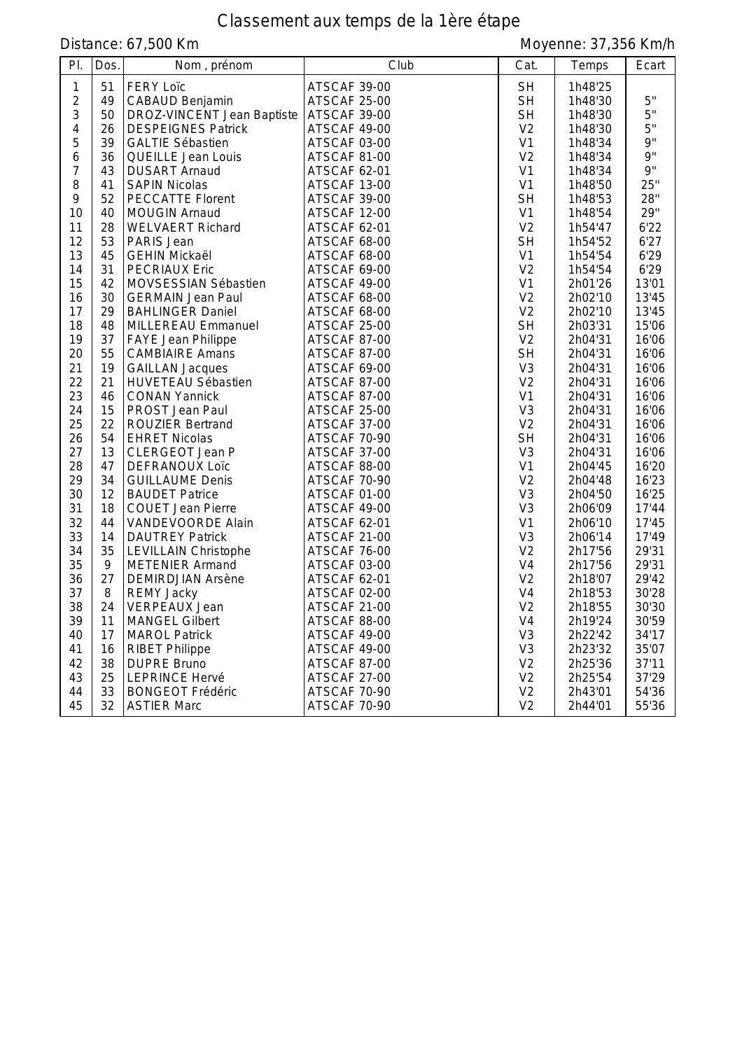# Classement aux temps de la 1ère étape

Distance: 67,500 Km

| PI.            | Dos. | Nom, prénom                 | Club         | Cat.           | Temps   | Ecart |
|----------------|------|-----------------------------|--------------|----------------|---------|-------|
| 1              | 51   | <b>FERY Loïc</b>            | ATSCAF 39-00 | <b>SH</b>      | 1h48'25 |       |
| $\overline{2}$ | 49   | CABAUD Benjamin             | ATSCAF 25-00 | <b>SH</b>      | 1h48'30 | 5"    |
| 3              | 50   | DROZ-VINCENT Jean Baptiste  | ATSCAF 39-00 | <b>SH</b>      | 1h48'30 | 5"    |
| 4              | 26   | <b>DESPEIGNES Patrick</b>   | ATSCAF 49-00 | V <sub>2</sub> | 1h48'30 | 5"    |
| 5              | 39   | <b>GALTIE Sébastien</b>     | ATSCAF 03-00 | V <sub>1</sub> | 1h48'34 | 9"    |
| 6              | 36   | QUEILLE Jean Louis          | ATSCAF 81-00 | V <sub>2</sub> | 1h48'34 | 9"    |
| 7              | 43   | <b>DUSART Arnaud</b>        | ATSCAF 62-01 | V <sub>1</sub> | 1h48'34 | 9"    |
| 8              | 41   | <b>SAPIN Nicolas</b>        | ATSCAF 13-00 | V <sub>1</sub> | 1h48'50 | 25"   |
| 9              | 52   | <b>PECCATTE Florent</b>     | ATSCAF 39-00 | <b>SH</b>      | 1h48'53 | 28"   |
| 10             | 40   | <b>MOUGIN Arnaud</b>        | ATSCAF 12-00 | V <sub>1</sub> | 1h48'54 | 29"   |
| 11             | 28   | <b>WELVAERT Richard</b>     | ATSCAF 62-01 | V <sub>2</sub> | 1h54'47 | 6'22  |
| 12             | 53   | PARIS Jean                  | ATSCAF 68-00 | <b>SH</b>      | 1h54'52 | 6'27  |
| 13             | 45   | <b>GEHIN Mickaël</b>        | ATSCAF 68-00 | V1             | 1h54'54 | 6'29  |
| 14             | 31   | <b>PECRIAUX Eric</b>        | ATSCAF 69-00 | V <sub>2</sub> | 1h54'54 | 6'29  |
| 15             | 42   | MOVSESSIAN Sébastien        | ATSCAF 49-00 | V <sub>1</sub> | 2h01'26 | 13'01 |
| 16             | 30   | <b>GERMAIN Jean Paul</b>    | ATSCAF 68-00 | V <sub>2</sub> | 2h02'10 | 13'45 |
| 17             | 29   | <b>BAHLINGER Daniel</b>     | ATSCAF 68-00 | V <sub>2</sub> | 2h02'10 | 13'45 |
| 18             | 48   | MILLEREAU Emmanuel          | ATSCAF 25-00 | <b>SH</b>      | 2h03'31 | 15'06 |
| 19             | 37   | FAYE Jean Philippe          | ATSCAF 87-00 | V <sub>2</sub> | 2h04'31 | 16'06 |
| 20             | 55   | <b>CAMBIAIRE Amans</b>      | ATSCAF 87-00 | <b>SH</b>      | 2h04'31 | 16'06 |
| 21             | 19   | <b>GAILLAN Jacques</b>      | ATSCAF 69-00 | V <sub>3</sub> | 2h04'31 | 16'06 |
| 22             | 21   | <b>HUVETEAU Sébastien</b>   | ATSCAF 87-00 | V <sub>2</sub> | 2h04'31 | 16'06 |
| 23             | 46   | <b>CONAN Yannick</b>        | ATSCAF 87-00 | V <sub>1</sub> | 2h04'31 | 16'06 |
| 24             | 15   | PROST Jean Paul             | ATSCAF 25-00 | V <sub>3</sub> | 2h04'31 | 16'06 |
| 25             | 22   | <b>ROUZIER Bertrand</b>     | ATSCAF 37-00 | V <sub>2</sub> | 2h04'31 | 16'06 |
| 26             | 54   | <b>EHRET Nicolas</b>        | ATSCAF 70-90 | <b>SH</b>      | 2h04'31 | 16'06 |
| 27             | 13   | CLERGEOT Jean P             | ATSCAF 37-00 | V <sub>3</sub> | 2h04'31 | 16'06 |
| 28             | 47   | <b>DEFRANOUX Loïc</b>       | ATSCAF 88-00 | V1             | 2h04'45 | 16'20 |
| 29             | 34   | <b>GUILLAUME Denis</b>      | ATSCAF 70-90 | V <sub>2</sub> | 2h04'48 | 16'23 |
| 30             | 12   | <b>BAUDET Patrice</b>       | ATSCAF 01-00 | V <sub>3</sub> | 2h04'50 | 16'25 |
| 31             | 18   | <b>COUET Jean Pierre</b>    | ATSCAF 49-00 | V <sub>3</sub> | 2h06'09 | 17'44 |
| 32             | 44   | VANDEVOORDE Alain           | ATSCAF 62-01 | V <sub>1</sub> | 2h06'10 | 17'45 |
| 33             | 14   | <b>DAUTREY Patrick</b>      | ATSCAF 21-00 | V <sub>3</sub> | 2h06'14 | 17'49 |
| 34             | 35   | <b>LEVILLAIN Christophe</b> | ATSCAF 76-00 | V <sub>2</sub> | 2h17'56 | 29'31 |
| 35             | 9    | <b>METENIER Armand</b>      | ATSCAF 03-00 | V <sub>4</sub> | 2h17'56 | 29'31 |
| 36             | 27   | <b>DEMIRDJIAN Arsène</b>    | ATSCAF 62-01 | V <sub>2</sub> | 2h18'07 | 29'42 |
| 37             | 8    | <b>REMY Jacky</b>           | ATSCAF 02-00 | V <sub>4</sub> | 2h18'53 | 30'28 |
| 38             | 24   | <b>VERPEAUX Jean</b>        | ATSCAF 21-00 | V <sub>2</sub> | 2h18'55 | 30'30 |
| 39             | 11   | MANGEL Gilbert              | ATSCAF 88-00 | V <sub>4</sub> | 2h19'24 | 30'59 |
| 40             | 17   | <b>MAROL Patrick</b>        | ATSCAF 49-00 | V <sub>3</sub> | 2h22'42 | 34'17 |
| 41             | 16   | <b>RIBET Philippe</b>       | ATSCAF 49-00 | V <sub>3</sub> | 2h23'32 | 35'07 |
| 42             | 38   | <b>DUPRE Bruno</b>          | ATSCAF 87-00 | V <sub>2</sub> | 2h25'36 | 37'11 |
| 43             | 25   | <b>LEPRINCE Hervé</b>       | ATSCAF 27-00 | V <sub>2</sub> | 2h25'54 | 37'29 |
| 44             | 33   | <b>BONGEOT Frédéric</b>     | ATSCAF 70-90 | V <sub>2</sub> | 2h43'01 | 54'36 |
| 45             | 32   | <b>ASTIER Marc</b>          | ATSCAF 70-90 | V <sub>2</sub> | 2h44'01 | 55'36 |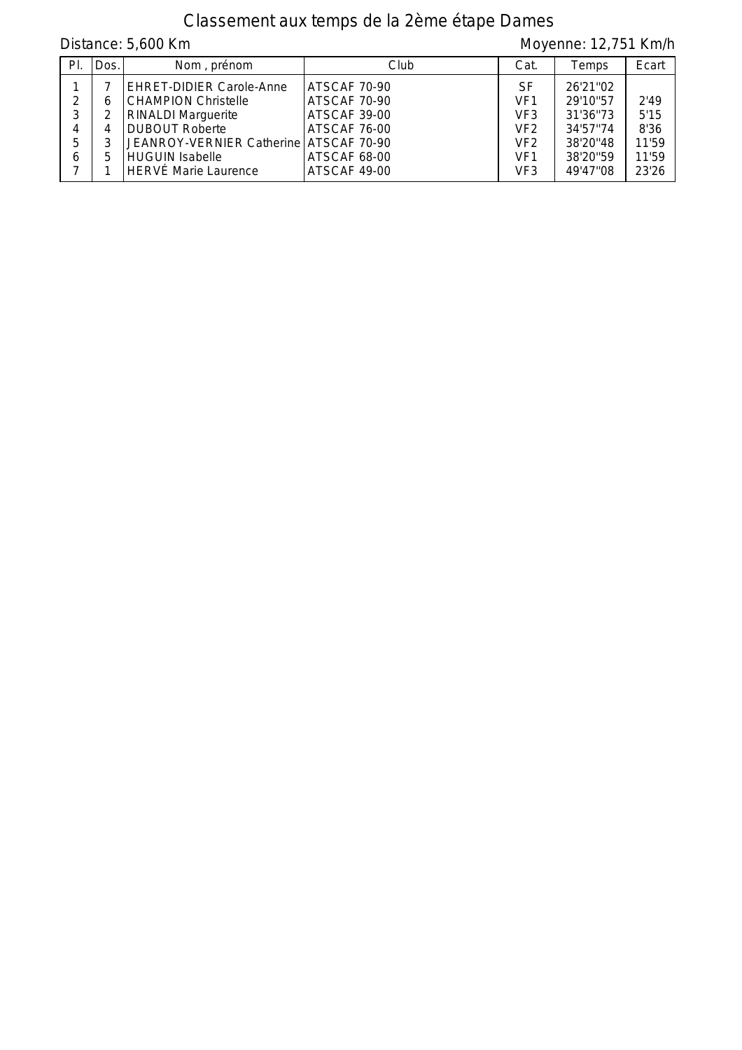# Classement aux temps de la 2ème étape Dames

| Distance: 5,600 Km |      |                                             |                              |                                    | Moyenne: 12,751 Km/h |              |  |
|--------------------|------|---------------------------------------------|------------------------------|------------------------------------|----------------------|--------------|--|
| PL                 | Dos. | Nom, prénom                                 | Club                         | Cat.                               | Temps                | Ecart        |  |
|                    |      | <b>EHRET-DIDIER Carole-Anne</b>             | ATSCAF 70-90                 | SF                                 | 26'21"02             |              |  |
| 2                  | 6    | <b>CHAMPION Christelle</b>                  | ATSCAF 70-90                 | VF <sub>1</sub><br>VF <sub>3</sub> | 29'10"57<br>31'36"73 | 2'49<br>5'15 |  |
| 3<br>4             | 4    | <b>RINALDI Marguerite</b><br>DUBOUT Roberte | ATSCAF 39-00<br>ATSCAF 76-00 | VF <sub>2</sub>                    | 34'57"74             | 8'36         |  |
| 5                  |      | JEANROY-VERNIER Catherine   ATSCAF 70-90    |                              | VF <sub>2</sub>                    | 38'20"48             | 11'59        |  |
| 6                  | 5.   | HUGUIN Isabelle                             | ATSCAF 68-00                 | VF <sub>1</sub>                    | 38'20"59             | 11'59        |  |
|                    |      | HERVÉ Marie Laurence                        | ATSCAF 49-00                 | VF3                                | 49'47"08             | 23'26        |  |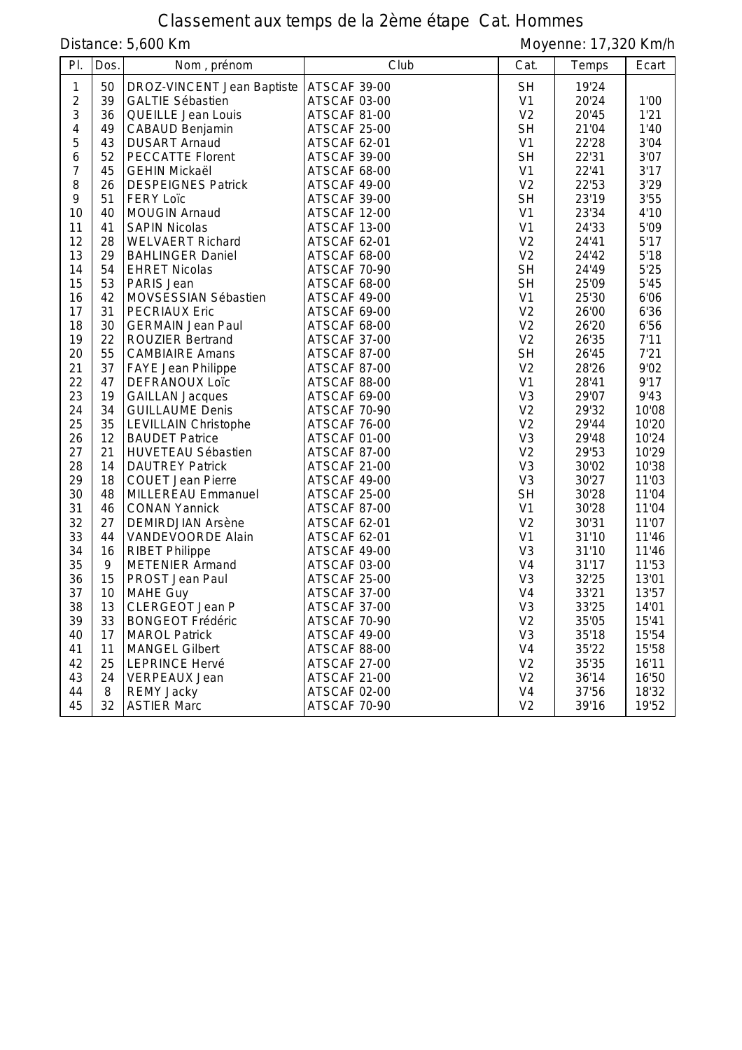# Classement aux temps de la 2ème étape Cat. Hommes

Distance: 5,600 Km

| PI.            | Dos. | Nom, prénom                 | Club         | Cat.           | Temps | Ecart |
|----------------|------|-----------------------------|--------------|----------------|-------|-------|
| $\mathbf{1}$   | 50   | DROZ-VINCENT Jean Baptiste  | ATSCAF 39-00 | <b>SH</b>      | 19'24 |       |
| $\overline{2}$ | 39   | <b>GALTIE Sébastien</b>     | ATSCAF 03-00 | V <sub>1</sub> | 20'24 | 1'00  |
| $\sqrt{3}$     | 36   | QUEILLE Jean Louis          | ATSCAF 81-00 | V <sub>2</sub> | 20'45 | 1'21  |
| $\overline{4}$ | 49   | CABAUD Benjamin             | ATSCAF 25-00 | <b>SH</b>      | 21'04 | 1'40  |
| 5              | 43   | <b>DUSART Arnaud</b>        | ATSCAF 62-01 | V <sub>1</sub> | 22'28 | 3'04  |
| 6              | 52   | <b>PECCATTE Florent</b>     | ATSCAF 39-00 | <b>SH</b>      | 22'31 | 3'07  |
| $\overline{7}$ | 45   | <b>GEHIN Mickaël</b>        | ATSCAF 68-00 | V <sub>1</sub> | 22'41 | 3'17  |
| 8              | 26   | <b>DESPEIGNES Patrick</b>   | ATSCAF 49-00 | V <sub>2</sub> | 22'53 | 3'29  |
| 9              | 51   | <b>FERY Loïc</b>            | ATSCAF 39-00 | <b>SH</b>      | 23'19 | 3'55  |
| 10             | 40   | <b>MOUGIN Arnaud</b>        | ATSCAF 12-00 | V <sub>1</sub> | 23'34 | 4'10  |
| 11             | 41   | <b>SAPIN Nicolas</b>        | ATSCAF 13-00 | V <sub>1</sub> | 24'33 | 5'09  |
| 12             | 28   | <b>WELVAERT Richard</b>     | ATSCAF 62-01 | V <sub>2</sub> | 24'41 | 5'17  |
| 13             | 29   | <b>BAHLINGER Daniel</b>     | ATSCAF 68-00 | V <sub>2</sub> | 24'42 | 5'18  |
| 14             | 54   | <b>EHRET Nicolas</b>        | ATSCAF 70-90 | <b>SH</b>      | 24'49 | 5'25  |
| 15             | 53   | PARIS Jean                  | ATSCAF 68-00 | <b>SH</b>      | 25'09 | 5'45  |
| 16             | 42   | MOVSESSIAN Sébastien        | ATSCAF 49-00 | V <sub>1</sub> | 25'30 | 6'06  |
| 17             | 31   | <b>PECRIAUX Eric</b>        | ATSCAF 69-00 | V <sub>2</sub> | 26'00 | 6'36  |
| 18             | 30   | <b>GERMAIN Jean Paul</b>    | ATSCAF 68-00 | V <sub>2</sub> | 26'20 | 6'56  |
| 19             | 22   | <b>ROUZIER Bertrand</b>     | ATSCAF 37-00 | V <sub>2</sub> | 26'35 | 7'11  |
| 20             | 55   | <b>CAMBIAIRE Amans</b>      | ATSCAF 87-00 | <b>SH</b>      | 26'45 | 7'21  |
| 21             | 37   | FAYE Jean Philippe          | ATSCAF 87-00 | V <sub>2</sub> | 28'26 | 9'02  |
| 22             | 47   | <b>DEFRANOUX Loïc</b>       | ATSCAF 88-00 | V <sub>1</sub> | 28'41 | 9'17  |
| 23             | 19   | <b>GAILLAN Jacques</b>      | ATSCAF 69-00 | V <sub>3</sub> | 29'07 | 9'43  |
| 24             | 34   | <b>GUILLAUME Denis</b>      | ATSCAF 70-90 | V <sub>2</sub> | 29'32 | 10'08 |
| 25             | 35   | <b>LEVILLAIN Christophe</b> | ATSCAF 76-00 | V <sub>2</sub> | 29'44 | 10'20 |
| 26             | 12   | <b>BAUDET Patrice</b>       | ATSCAF 01-00 | V <sub>3</sub> | 29'48 | 10'24 |
| 27             | 21   | HUVETEAU Sébastien          | ATSCAF 87-00 | V <sub>2</sub> | 29'53 | 10'29 |
| 28             | 14   | <b>DAUTREY Patrick</b>      | ATSCAF 21-00 | V <sub>3</sub> | 30'02 | 10'38 |
| 29             | 18   | <b>COUET Jean Pierre</b>    | ATSCAF 49-00 | V <sub>3</sub> | 30'27 | 11'03 |
| 30             | 48   | MILLEREAU Emmanuel          | ATSCAF 25-00 | <b>SH</b>      | 30'28 | 11'04 |
| 31             | 46   | <b>CONAN Yannick</b>        | ATSCAF 87-00 | V1             | 30'28 | 11'04 |
| 32             | 27   | <b>DEMIRDJIAN Arsène</b>    | ATSCAF 62-01 | V <sub>2</sub> | 30'31 | 11'07 |
| 33             | 44   | VANDEVOORDE Alain           | ATSCAF 62-01 | V <sub>1</sub> | 31'10 | 11'46 |
| 34             | 16   | <b>RIBET Philippe</b>       | ATSCAF 49-00 | V <sub>3</sub> | 31'10 | 11'46 |
| 35             | 9    | <b>METENIER Armand</b>      | ATSCAF 03-00 | V <sub>4</sub> | 31'17 | 11'53 |
| 36             | 15   | PROST Jean Paul             | ATSCAF 25-00 | V <sub>3</sub> | 32'25 | 13'01 |
| 37             | 10   | <b>MAHE Guy</b>             | ATSCAF 37-00 | V <sub>4</sub> | 33'21 | 13'57 |
| 38             | 13   | CLERGEOT Jean P             | ATSCAF 37-00 | V <sub>3</sub> | 33'25 | 14'01 |
| 39             | 33   | <b>BONGEOT Frédéric</b>     | ATSCAF 70-90 | V <sub>2</sub> | 35'05 | 15'41 |
| 40             | 17   | <b>MAROL Patrick</b>        | ATSCAF 49-00 | V <sub>3</sub> | 35'18 | 15'54 |
| 41             | 11   | <b>MANGEL Gilbert</b>       | ATSCAF 88-00 | V <sub>4</sub> | 35'22 | 15'58 |
| 42             | 25   | <b>LEPRINCE Hervé</b>       | ATSCAF 27-00 | V <sub>2</sub> | 35'35 | 16'11 |
| 43             | 24   | <b>VERPEAUX Jean</b>        | ATSCAF 21-00 | V <sub>2</sub> | 36'14 | 16'50 |
| 44             | 8    | <b>REMY Jacky</b>           | ATSCAF 02-00 | V <sub>4</sub> | 37'56 | 18'32 |
| 45             | 32   | <b>ASTIER Marc</b>          | ATSCAF 70-90 | V <sub>2</sub> | 39'16 | 19'52 |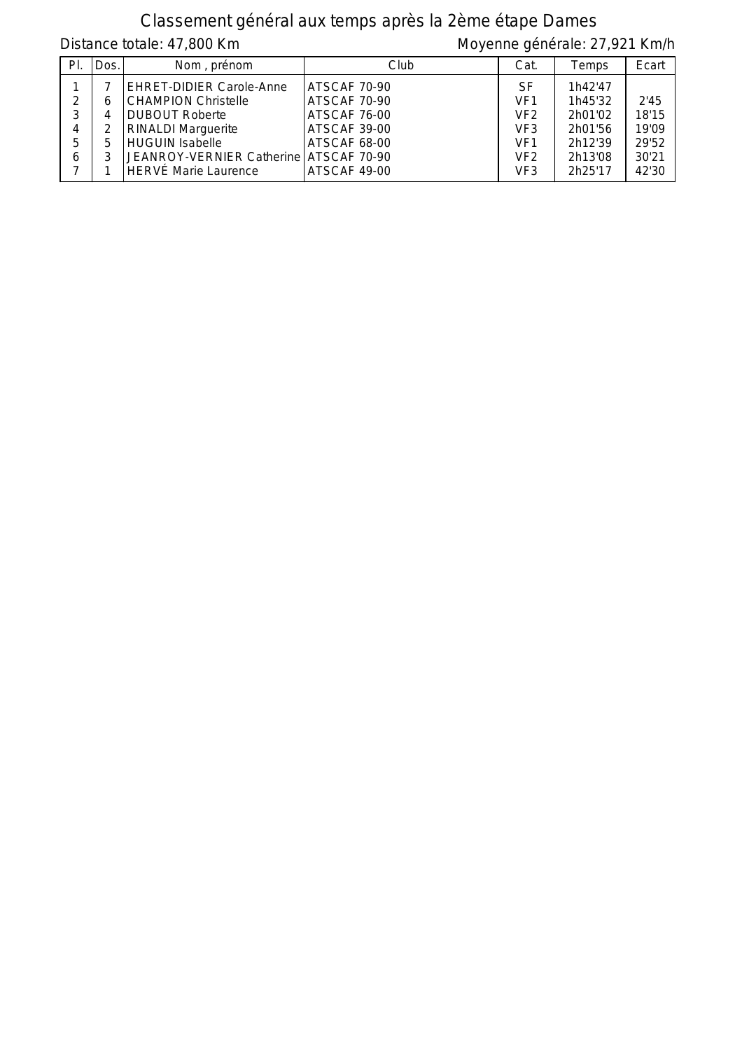## Classement général aux temps après la 2ème étape Dames

Distance totale: 47,800 Km Moyenne générale: 27,921 Km/h

| PI. | Dos. | Nom, prénom                            | Club         | Cat.            | Temps   | Ecart |
|-----|------|----------------------------------------|--------------|-----------------|---------|-------|
|     |      | EHRET-DIDIER Carole-Anne               | ATSCAF 70-90 | SF              | 1h42'47 |       |
| C   | 6    | <b>CHAMPION Christelle</b>             | ATSCAF 70-90 | VF <sub>1</sub> | 1h45'32 | 2'45  |
| 3   | 4    | DUBOUT Roberte                         | ATSCAF 76-00 | VF <sub>2</sub> | 2h01'02 | 18'15 |
| 4   |      | <b>RINALDI</b> Marguerite              | ATSCAF 39-00 | VF <sub>3</sub> | 2h01'56 | 19'09 |
| 5   | 5.   | HUGUIN Isabelle                        | ATSCAF 68-00 | VF <sub>1</sub> | 2h12'39 | 29'52 |
| 6   |      | JEANROY-VERNIER Catherine ATSCAF 70-90 |              | VF <sub>2</sub> | 2h13'08 | 30'21 |
|     |      | HERVÉ Marie Laurence                   | ATSCAF 49-00 | VF <sub>3</sub> | 2h25'17 | 42'30 |